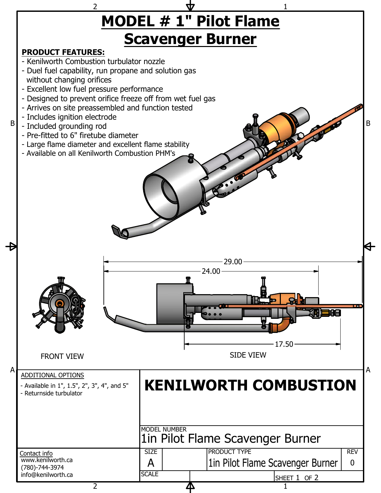